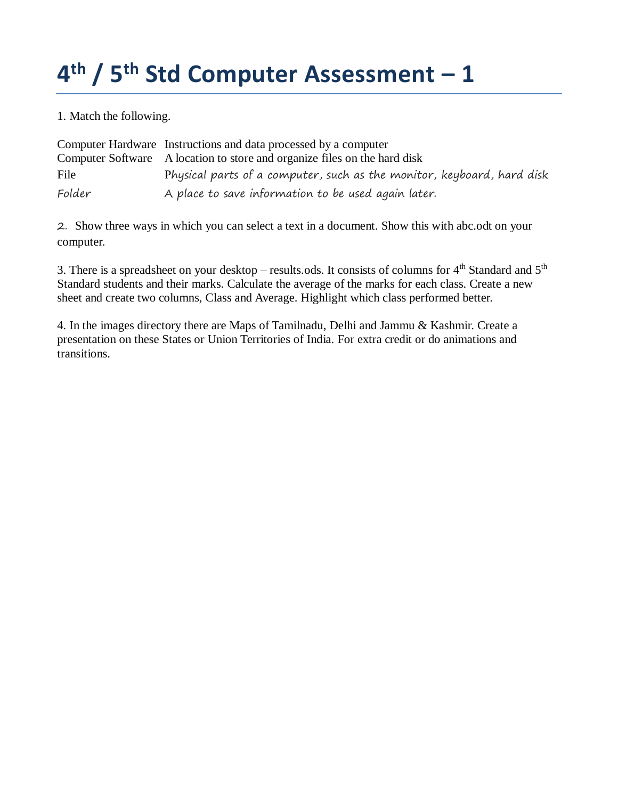1. Match the following.

|        | Computer Hardware Instructions and data processed by a computer           |
|--------|---------------------------------------------------------------------------|
|        | Computer Software A location to store and organize files on the hard disk |
| File   | Physical parts of a computer, such as the monitor, keyboard, hard disk    |
| Folder | A place to save information to be used again later.                       |

2. Show three ways in which you can select a text in a document. Show this with abc.odt on your computer.

3. There is a spreadsheet on your desktop – results.ods. It consists of columns for  $4<sup>th</sup>$  Standard and  $5<sup>th</sup>$ Standard students and their marks. Calculate the average of the marks for each class. Create a new sheet and create two columns, Class and Average. Highlight which class performed better.

4. In the images directory there are Maps of Tamilnadu, Delhi and Jammu & Kashmir. Create a presentation on these States or Union Territories of India. For extra credit or do animations and transitions.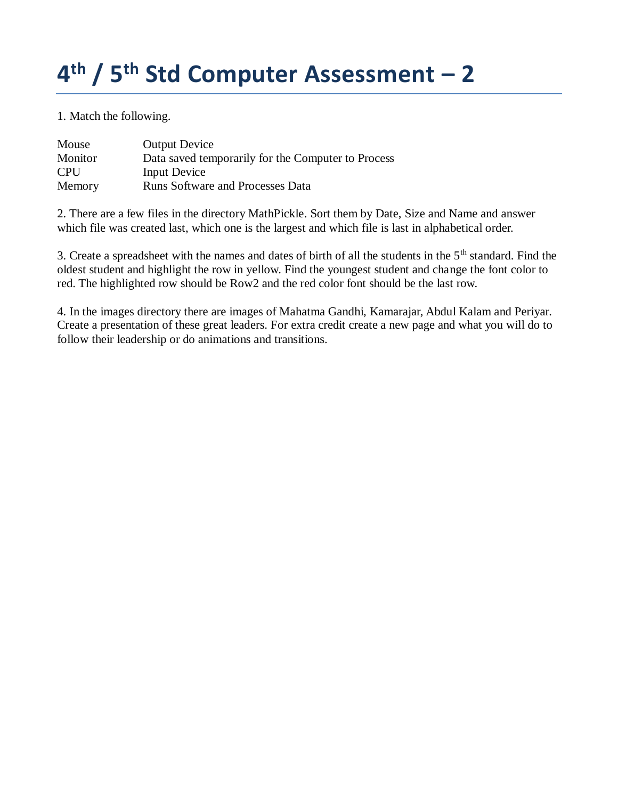1. Match the following.

| Mouse      | <b>Output Device</b>                               |
|------------|----------------------------------------------------|
| Monitor    | Data saved temporarily for the Computer to Process |
| <b>CPU</b> | Input Device                                       |
| Memory     | <b>Runs Software and Processes Data</b>            |

2. There are a few files in the directory MathPickle. Sort them by Date, Size and Name and answer which file was created last, which one is the largest and which file is last in alphabetical order.

3. Create a spreadsheet with the names and dates of birth of all the students in the 5<sup>th</sup> standard. Find the oldest student and highlight the row in yellow. Find the youngest student and change the font color to red. The highlighted row should be Row2 and the red color font should be the last row.

4. In the images directory there are images of Mahatma Gandhi, Kamarajar, Abdul Kalam and Periyar. Create a presentation of these great leaders. For extra credit create a new page and what you will do to follow their leadership or do animations and transitions.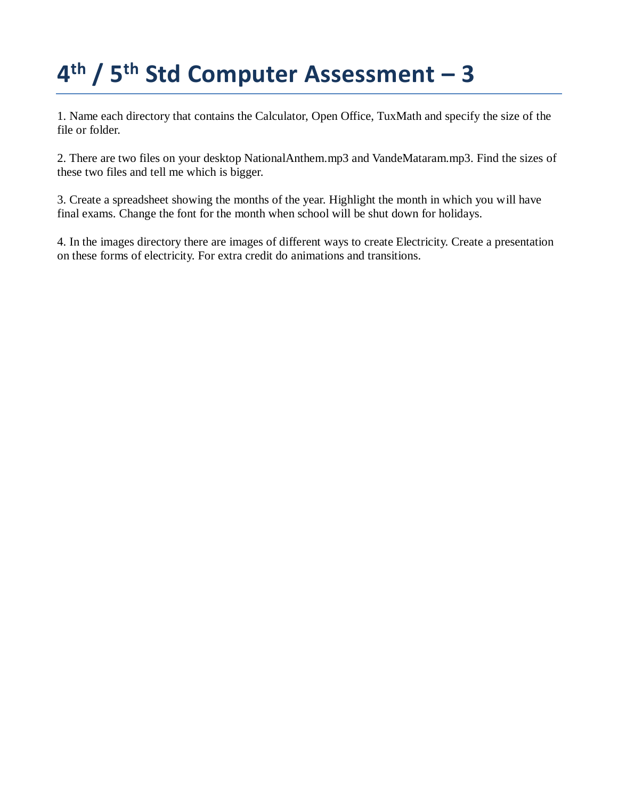1. Name each directory that contains the Calculator, Open Office, TuxMath and specify the size of the file or folder.

2. There are two files on your desktop NationalAnthem.mp3 and VandeMataram.mp3. Find the sizes of these two files and tell me which is bigger.

3. Create a spreadsheet showing the months of the year. Highlight the month in which you will have final exams. Change the font for the month when school will be shut down for holidays.

4. In the images directory there are images of different ways to create Electricity. Create a presentation on these forms of electricity. For extra credit do animations and transitions.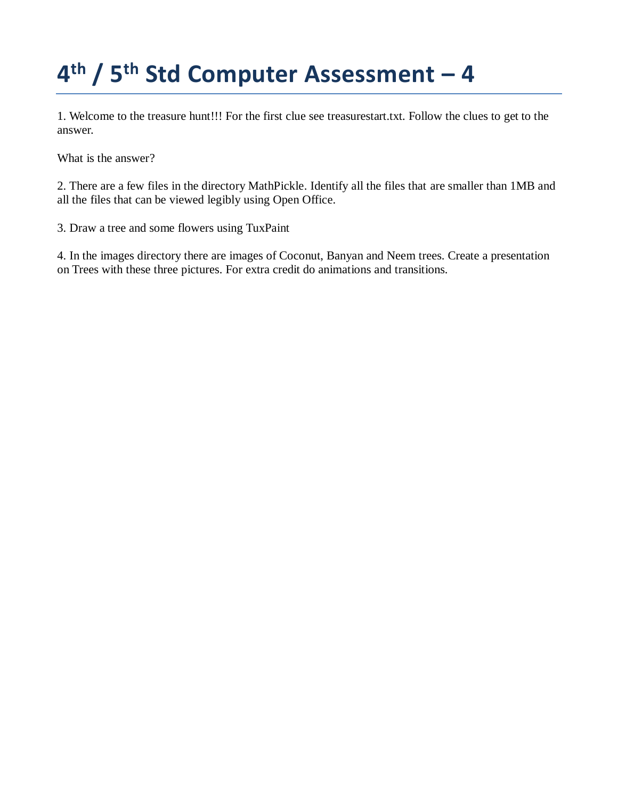1. Welcome to the treasure hunt!!! For the first clue see treasurestart.txt. Follow the clues to get to the answer.

What is the answer?

2. There are a few files in the directory MathPickle. Identify all the files that are smaller than 1MB and all the files that can be viewed legibly using Open Office.

3. Draw a tree and some flowers using TuxPaint

4. In the images directory there are images of Coconut, Banyan and Neem trees. Create a presentation on Trees with these three pictures. For extra credit do animations and transitions.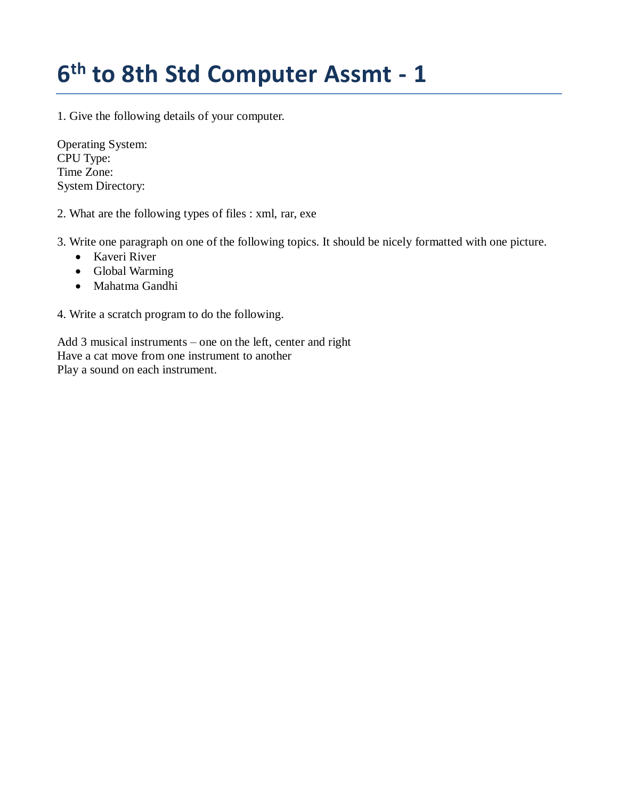#### **6 th to 8th Std Computer Assmt - 1**

1. Give the following details of your computer.

Operating System: CPU Type: Time Zone: System Directory:

2. What are the following types of files : xml, rar, exe

3. Write one paragraph on one of the following topics. It should be nicely formatted with one picture.

- Kaveri River
- Global Warming
- Mahatma Gandhi

4. Write a scratch program to do the following.

Add 3 musical instruments – one on the left, center and right Have a cat move from one instrument to another Play a sound on each instrument.